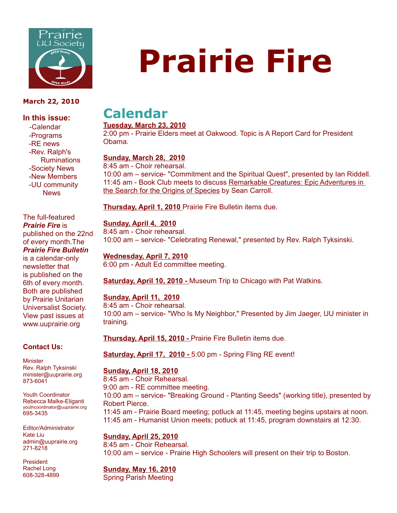

#### **March 22, 2010**

#### **In this issue:**

 -Calendar -Programs -RE news -Rev. Ralph's Ruminations -Society News -New Members -UU community **News** 

The full-featured *Prairie Fire* is published on the 22nd of every month.The *Prairie Fire Bulletin* is a calendar-only newsletter that is published on the 6th of every month. Both are published by Prairie Unitarian Universalist Society. View past issues at www.uuprairie.org

#### **Contact Us:**

**Minister** Rev. Ralph Tyksinski minister@uuprairie.org 873-6041

Youth Coordinator Rebecca Malke-Eliganti youthcoordinator@uuprairie.org 695-3435

Editor/Administrator Kate Liu admin@uuprairie.org 271-8218

President Rachel Long 608-328-4899

# **Prairie Fire**

## **Calendar**

#### **Tuesday, March 23, 2010**

2:00 pm - Prairie Elders meet at Oakwood. Topic is A Report Card for President Obama.

#### **Sunday, March 28, 2010**

8:45 am - Choir rehearsal. 10:00 am – service- "Commitment and the Spiritual Quest", presented by Ian Riddell. 11:45 am - Book Club meets to discuss Remarkable Creatures: Epic Adventures in the Search for the Origins of Species by Sean Carroll.

**Thursday, April 1, 2010** Prairie Fire Bulletin items due.

#### **Sunday, April 4, 2010**

8:45 am - Choir rehearsal. 10:00 am – service- "Celebrating Renewal," presented by Rev. Ralph Tyksinski.

#### **Wednesday, April 7, 2010**

6:00 pm - Adult Ed committee meeting.

**Saturday, April 10, 2010 -** Museum Trip to Chicago with Pat Watkins.

#### **Sunday, April 11, 2010**

8:45 am - Choir rehearsal. 10:00 am – service- "Who Is My Neighbor," Presented by Jim Jaeger, UU minister in training.

**Thursday, April 15, 2010 -** Prairie Fire Bulletin items due.

**Saturday, April 17, 2010 -** 5:00 pm - Spring Fling RE event!

### **Sunday, April 18, 2010**

8:45 am - Choir Rehearsal. 9:00 am - RE committee meeting. 10:00 am – service- "Breaking Ground - Planting Seeds" (working title), presented by Robert Pierce. 11:45 am - Prairie Board meeting; potluck at 11:45, meeting begins upstairs at noon. 11:45 am - Humanist Union meets; potluck at 11:45, program downstairs at 12:30.

#### **Sunday, April 25, 2010**

8:45 am - Choir Rehearsal. 10:00 am – service - Prairie High Schoolers will present on their trip to Boston.

### **Sunday, May 16, 2010**

Spring Parish Meeting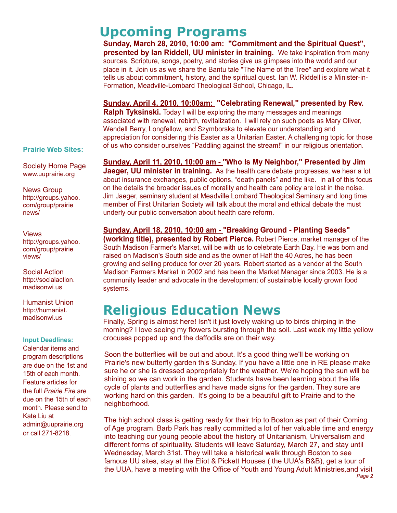**Upcoming Programs Sunday, March 28, 2010, 10:00 am: "Commitment and the Spiritual Quest", presented by Ian Riddell, UU minister in training.** We take inspiration from many sources. Scripture, songs, poetry, and stories give us glimpses into the world and our place in it. Join us as we share the Bantu tale "The Name of the Tree" and explore what it tells us about commitment, history, and the spiritual quest. Ian W. Riddell is a Minister-in-Formation, Meadville-Lombard Theological School, Chicago, IL.

**Sunday, April 4, 2010, 10:00am: "Celebrating Renewal," presented by Rev. Ralph Tyksinski.** Today I will be exploring the many messages and meanings associated with renewal, rebirth, revitalization. I will rely on such poets as Mary Oliver, Wendell Berry, Longfellow, and Szymborska to elevate our understanding and appreciation for considering this Easter as a Unitarian Easter. A challenging topic for those of us who consider ourselves "Paddling against the stream!" in our religious orientation.

**Prairie Web Sites:**

Society Home Page www.uuprairie.org

News Group http://groups.yahoo. com/group/prairie news/

Views http://groups.yahoo. com/group/prairie views/

Social Action http://socialaction. madisonwi.us

Humanist Union http://humanist. madisonwi.us

#### **Input Deadlines:**

Calendar items and program descriptions are due on the 1st and 15th of each month. Feature articles for the full *Prairie Fire* are due on the 15th of each month. Please send to Kate Liu at admin@uuprairie.org or call 271-8218.

**Sunday, April 11, 2010, 10:00 am - "Who Is My Neighbor," Presented by Jim Jaeger, UU minister in training.** As the health care debate progresses, we hear a lot about insurance exchanges, public options, "death panels" and the like. In all of this focus on the details the broader issues of morality and health care policy are lost in the noise. Jim Jaeger, seminary student at Meadville Lombard Theological Seminary and long time member of First Unitarian Society will talk about the moral and ethical debate the must underly our public conversation about health care reform.

**Sunday, April 18, 2010, 10:00 am - "Breaking Ground - Planting Seeds" (working title), presented by Robert Pierce.** Robert Pierce, market manager of the South Madison Farmer's Market, will be with us to celebrate Earth Day. He was born and raised on Madison's South side and as the owner of Half the 40 Acres, he has been growing and selling produce for over 20 years. Robert started as a vendor at the South Madison Farmers Market in 2002 and has been the Market Manager since 2003. He is a community leader and advocate in the development of sustainable locally grown food systems.

## **Religious Education News**

Finally, Spring is almost here! Isn't it just lovely waking up to birds chirping in the morning? I love seeing my flowers bursting through the soil. Last week my little yellow crocuses popped up and the daffodils are on their way.

Soon the butterflies will be out and about. It's a good thing we'll be working on Prairie's new butterfly garden this Sunday. If you have a little one in RE please make sure he or she is dressed appropriately for the weather. We're hoping the sun will be shining so we can work in the garden. Students have been learning about the life cycle of plants and butterflies and have made signs for the garden. They sure are working hard on this garden. It's going to be a beautiful gift to Prairie and to the neighborhood.

The high school class is getting ready for their trip to Boston as part of their Coming of Age program. Barb Park has really committed a lot of her valuable time and energy into teaching our young people about the history of Unitarianism, Universalism and different forms of spirituality. Students will leave Saturday, March 27, and stay until Wednesday, March 31st. They will take a historical walk through Boston to see famous UU sites, stay at the Eliot & Pickett Houses ( the UUA's B&B), get a tour of the UUA, have a meeting with the Office of Youth and Young Adult Ministries,and visit *Page 2*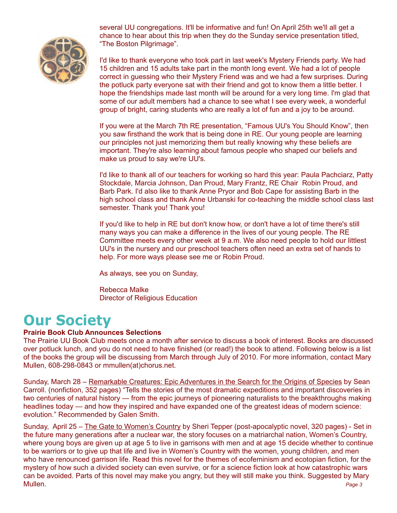

several UU congregations. It'll be informative and fun! On April 25th we'll all get a chance to hear about this trip when they do the Sunday service presentation titled, "The Boston Pilgrimage".

I'd like to thank everyone who took part in last week's Mystery Friends party. We had 15 children and 15 adults take part in the month long event. We had a lot of people correct in guessing who their Mystery Friend was and we had a few surprises. During the potluck party everyone sat with their friend and got to know them a little better. I hope the friendships made last month will be around for a very long time. I'm glad that some of our adult members had a chance to see what I see every week, a wonderful group of bright, caring students who are really a lot of fun and a joy to be around.

If you were at the March 7th RE presentation, "Famous UU's You Should Know", then you saw firsthand the work that is being done in RE. Our young people are learning our principles not just memorizing them but really knowing why these beliefs are important. They're also learning about famous people who shaped our beliefs and make us proud to say we're UU's.

I'd like to thank all of our teachers for working so hard this year: Paula Pachciarz, Patty Stockdale, Marcia Johnson, Dan Proud, Mary Frantz, RE Chair Robin Proud, and Barb Park. I'd also like to thank Anne Pryor and Bob Cape for assisting Barb in the high school class and thank Anne Urbanski for co-teaching the middle school class last semester. Thank you! Thank you!

If you'd like to help in RE but don't know how, or don't have a lot of time there's still many ways you can make a difference in the lives of our young people. The RE Committee meets every other week at 9 a.m. We also need people to hold our littlest UU's in the nursery and our preschool teachers often need an extra set of hands to help. For more ways please see me or Robin Proud.

As always, see you on Sunday,

Rebecca Malke Director of Religious Education

## **Our Society**

#### **Prairie Book Club Announces Selections**

The Prairie UU Book Club meets once a month after service to discuss a book of interest. Books are discussed over potluck lunch, and you do not need to have finished (or read!) the book to attend. Following below is a list of the books the group will be discussing from March through July of 2010. For more information, contact Mary Mullen, 608-298-0843 or mmullen(at)chorus.net.

Sunday, March 28 – Remarkable Creatures: Epic Adventures in the Search for the Origins of Species by Sean Carroll. (nonfiction, 352 pages) "Tells the stories of the most dramatic expeditions and important discoveries in two centuries of natural history — from the epic journeys of pioneering naturalists to the breakthroughs making headlines today — and how they inspired and have expanded one of the greatest ideas of modern science: evolution." Recommended by Galen Smith.

Sunday, April 25 – The Gate to Women's Country by Sheri Tepper (post-apocalyptic novel, 320 pages) - Set in the future many generations after a nuclear war, the story focuses on a matriarchal nation, Women's Country, where young boys are given up at age 5 to live in garrisons with men and at age 15 decide whether to continue to be warriors or to give up that life and live in Women's Country with the women, young children, and men who have renounced garrison life. Read this novel for the themes of ecofeminism and ecotopian fiction, for the mystery of how such a divided society can even survive, or for a science fiction look at how catastrophic wars can be avoided. Parts of this novel may make you angry, but they will still make you think. Suggested by Mary Mullen. *Page 3*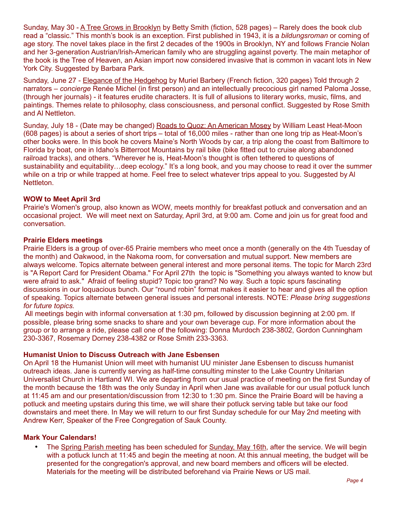Sunday, May 30 - A Tree Grows in Brooklyn by Betty Smith (fiction, 528 pages) – Rarely does the book club read a "classic." This month's book is an exception. First published in 1943, it is a *bildungsroman* or coming of age story. The novel takes place in the first 2 decades of the 1900s in Brooklyn, NY and follows Francie Nolan and her 3-generation Austrian/Irish-American family who are struggling against poverty. The main metaphor of the book is the Tree of Heaven, an Asian import now considered invasive that is common in vacant lots in New York City. Suggested by Barbara Park.

Sunday, June 27 - Elegance of the Hedgehog by Muriel Barbery (French fiction, 320 pages) Told through 2 narrators – *concierge* Renée Michel (in first person) and an intellectually precocious girl named Paloma Josse, (through her journals) - it features erudite characters. It is full of allusions to literary works, music, films, and paintings. Themes relate to philosophy, class consciousness, and personal conflict. Suggested by Rose Smith and Al Nettleton.

Sunday, July 18 - (Date may be changed) Roads to Quoz: An American Mosey by William Least Heat-Moon (608 pages) is about a series of short trips – total of 16,000 miles - rather than one long trip as Heat-Moon's other books were. In this book he covers Maine's North Woods by car, a trip along the coast from Baltimore to Florida by boat, one in Idaho's Bitterroot Mountains by rail bike (bike fitted out to cruise along abandoned railroad tracks), and others. "Wherever he is, Heat-Moon's thought is often tethered to questions of sustainability and equitability...deep ecology." It's a long book, and you may choose to read it over the summer while on a trip or while trapped at home. Feel free to select whatever trips appeal to you. Suggested by Al Nettleton.

#### **WOW to Meet April 3rd**

Prairie's Women's group, also known as WOW, meets monthly for breakfast potluck and conversation and an occasional project. We will meet next on Saturday, April 3rd, at 9:00 am. Come and join us for great food and conversation.

#### **Prairie Elders meetings**

Prairie Elders is a group of over-65 Prairie members who meet once a month (generally on the 4th Tuesday of the month) and Oakwood, in the Nakoma room, for conversation and mutual support. New members are always welcome. Topics alternate between general interest and more personal items. The topic for March 23rd is "A Report Card for President Obama." For April 27th the topic is "Something you always wanted to know but were afraid to ask." Afraid of feeling stupid? Topic too grand? No way. Such a topic spurs fascinating discussions in our loquacious bunch. Our "round robin" format makes it easier to hear and gives all the option of speaking. Topics alternate between general issues and personal interests. NOTE: *Please bring suggestions for future topics.*

 All meetings begin with informal conversation at 1:30 pm, followed by discussion beginning at 2:00 pm. If possible, please bring some snacks to share and your own beverage cup. For more information about the group or to arrange a ride, please call one of the following: Donna Murdoch 238-3802, Gordon Cunningham 230-3367, Rosemary Dorney 238-4382 or Rose Smith 233-3363.

#### **Humanist Union to Discuss Outreach with Jane Esbensen**

On April 18 the Humanist Union will meet with humanist UU minister Jane Esbensen to discuss humanist outreach ideas. Jane is currently serving as half-time consulting minster to the Lake Country Unitarian Universalist Church in Hartland WI. We are departing from our usual practice of meeting on the first Sunday of the month because the 18th was the only Sunday in April when Jane was available for our usual potluck lunch at 11:45 am and our presentation/discussion from 12:30 to 1:30 pm. Since the Prairie Board will be having a potluck and meeting upstairs during this time, we will share their potluck serving table but take our food downstairs and meet there. In May we will return to our first Sunday schedule for our May 2nd meeting with Andrew Kerr, Speaker of the Free Congregation of Sauk County.

#### **Mark Your Calendars!**

• The Spring Parish meeting has been scheduled for Sunday, May 16th, after the service. We will begin with a potluck lunch at 11:45 and begin the meeting at noon. At this annual meeting, the budget will be presented for the congregation's approval, and new board members and officers will be elected. Materials for the meeting will be distributed beforehand via Prairie News or US mail.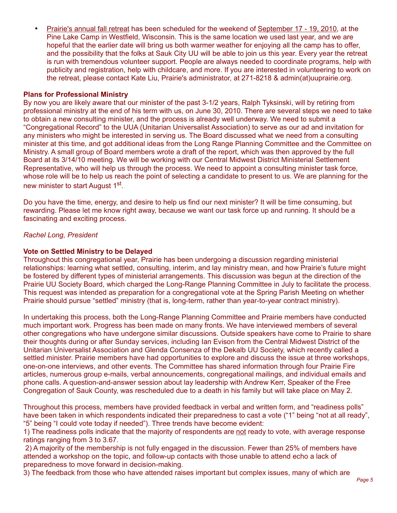• Prairie's annual fall retreat has been scheduled for the weekend of September 17 - 19, 2010, at the Pine Lake Camp in Westfield, Wisconsin. This is the same location we used last year, and we are hopeful that the earlier date will bring us both warmer weather for enjoying all the camp has to offer, and the possibility that the folks at Sauk City UU will be able to join us this year. Every year the retreat is run with tremendous volunteer support. People are always needed to coordinate programs, help with publicity and registration, help with childcare, and more. If you are interested in volunteering to work on the retreat, please contact Kate Liu, Prairie's administrator, at 271-8218 & admin(at)uuprairie.org.

#### **Plans for Professional Ministry**

By now you are likely aware that our minister of the past 3-1/2 years, Ralph Tyksinski, will by retiring from professional ministry at the end of his term with us, on June 30, 2010. There are several steps we need to take to obtain a new consulting minister, and the process is already well underway. We need to submit a "Congregational Record" to the UUA (Unitarian Universalist Association) to serve as our ad and invitation for any ministers who might be interested in serving us. The Board discussed what we need from a consulting minister at this time, and got additional ideas from the Long Range Planning Committee and the Committee on Ministry. A small group of Board members wrote a draft of the report, which was then approved by the full Board at its 3/14/10 meeting. We will be working with our Central Midwest District Ministerial Settlement Representative, who will help us through the process. We need to appoint a consulting minister task force, whose role will be to help us reach the point of selecting a candidate to present to us. We are planning for the new minister to start August 1st.

Do you have the time, energy, and desire to help us find our next minister? It will be time consuming, but rewarding. Please let me know right away, because we want our task force up and running. It should be a fascinating and exciting process.

*Rachel Long, President*

#### **Vote on Settled Ministry to be Delayed**

Throughout this congregational year, Prairie has been undergoing a discussion regarding ministerial relationships: learning what settled, consulting, interim, and lay ministry mean, and how Prairie's future might be fostered by different types of ministerial arrangements. This discussion was begun at the direction of the Prairie UU Society Board, which charged the Long-Range Planning Committee in July to facilitate the process. This request was intended as preparation for a congregational vote at the Spring Parish Meeting on whether Prairie should pursue "settled" ministry (that is, long-term, rather than year-to-year contract ministry).

In undertaking this process, both the Long-Range Planning Committee and Prairie members have conducted much important work. Progress has been made on many fronts. We have interviewed members of several other congregations who have undergone similar discussions. Outside speakers have come to Prairie to share their thoughts during or after Sunday services, including Ian Evison from the Central Midwest District of the Unitarian Universalist Association and Glenda Consenza of the Dekalb UU Society, which recently called a settled minister. Prairie members have had opportunities to explore and discuss the issue at three workshops, one-on-one interviews, and other events. The Committee has shared information through four Prairie Fire articles, numerous group e-mails, verbal announcements, congregational mailings, and individual emails and phone calls. A question-and-answer session about lay leadership with Andrew Kerr, Speaker of the Free Congregation of Sauk County, was rescheduled due to a death in his family but will take place on May 2.

Throughout this process, members have provided feedback in verbal and written form, and "readiness polls" have been taken in which respondents indicated their preparedness to cast a vote ("1" being "not at all ready", "5" being "I could vote today if needed"). Three trends have become evident:

1) The readiness polls indicate that the majority of respondents are not ready to vote, with average response ratings ranging from 3 to 3.67.

 2) A majority of the membership is not fully engaged in the discussion. Fewer than 25% of members have attended a workshop on the topic, and follow-up contacts with those unable to attend echo a lack of preparedness to move forward in decision-making.

3) The feedback from those who have attended raises important but complex issues, many of which are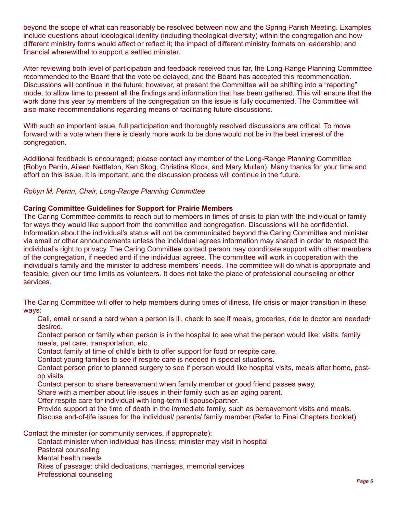beyond the scope of what can reasonably be resolved between now and the Spring Parish Meeting. Examples include questions about ideological identity (including theological diversity) within the congregation and how different ministry forms would affect or reflect it; the impact of different ministry formats on leadership; and financial wherewithal to support a settled minister.

After reviewing both level of participation and feedback received thus far, the Long-Range Planning Committee recommended to the Board that the vote be delayed, and the Board has accepted this recommendation. Discussions will continue in the future; however, at present the Committee will be shifting into a "reporting" mode, to allow time to present all the findings and information that has been gathered. This will ensure that the work done this year by members of the congregation on this issue is fully documented. The Committee will also make recommendations regarding means of facilitating future discussions.

With such an important issue, full participation and thoroughly resolved discussions are critical. To move forward with a vote when there is clearly more work to be done would not be in the best interest of the congregation.

Additional feedback is encouraged; please contact any member of the Long-Range Planning Committee (Robyn Perrin, Aileen Nettleton, Ken Skog, Christina Klock, and Mary Mullen). Many thanks for your time and effort on this issue. It is important, and the discussion process will continue in the future.

#### *Robyn M. Perrin, Chair, Long-Range Planning Committee*

#### **Caring Committee Guidelines for Support for Prairie Members**

The Caring Committee commits to reach out to members in times of crisis to plan with the individual or family for ways they would like support from the committee and congregation. Discussions will be confidential. Information about the individual's status will not be communicated beyond the Caring Committee and minister via email or other announcements unless the individual agrees information may shared in order to respect the individual's right to privacy. The Caring Committee contact person may coordinate support with other members of the congregation, if needed and if the individual agrees. The committee will work in cooperation with the individual's family and the minister to address members' needs. The committee will do what is appropriate and feasible, given our time limits as volunteers. It does not take the place of professional counseling or other services.

The Caring Committee will offer to help members during times of illness, life crisis or major transition in these ways:

Call, email or send a card when a person is ill, check to see if meals, groceries, ride to doctor are needed/ desired.

Contact person or family when person is in the hospital to see what the person would like: visits, family meals, pet care, transportation, etc.

Contact family at time of child's birth to offer support for food or respite care.

Contact young families to see if respite care is needed in special situations.

Contact person prior to planned surgery to see if person would like hospital visits, meals after home, postop visits.

Contact person to share bereavement when family member or good friend passes away.

Share with a member about life issues in their family such as an aging parent.

Offer respite care for individual with long-term ill spouse/partner.

Provide support at the time of death in the immediate family, such as bereavement visits and meals. Discuss end-of-life issues for the individual/ parents/ family member (Refer to Final Chapters booklet)

Contact the minister (or community services, if appropriate):

Contact minister when individual has illness; minister may visit in hospital

Pastoral counseling

Mental health needs

Rites of passage: child dedications, marriages, memorial services

Professional counseling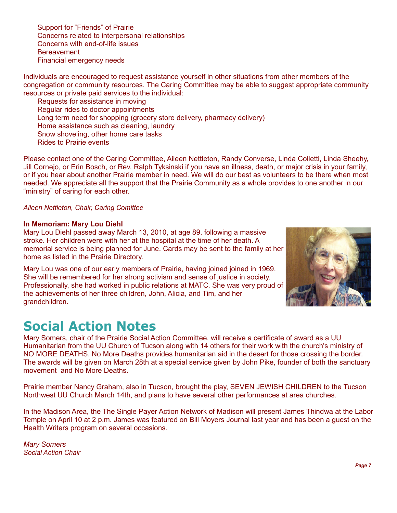Support for "Friends" of Prairie Concerns related to interpersonal relationships Concerns with end-of-life issues **Bereavement** Financial emergency needs

Individuals are encouraged to request assistance yourself in other situations from other members of the congregation or community resources. The Caring Committee may be able to suggest appropriate community resources or private paid services to the individual:

Requests for assistance in moving Regular rides to doctor appointments Long term need for shopping (grocery store delivery, pharmacy delivery) Home assistance such as cleaning, laundry Snow shoveling, other home care tasks Rides to Prairie events

Please contact one of the Caring Committee, Aileen Nettleton, Randy Converse, Linda Colletti, Linda Sheehy, Jill Cornejo, or Erin Bosch, or Rev. Ralph Tyksinski if you have an illness, death, or major crisis in your family, or if you hear about another Prairie member in need. We will do our best as volunteers to be there when most needed. We appreciate all the support that the Prairie Community as a whole provides to one another in our "ministry" of caring for each other.

*Aileen Nettleton, Chair, Caring Comittee*

#### **In Memoriam: Mary Lou Diehl**

Mary Lou Diehl passed away March 13, 2010, at age 89, following a massive stroke. Her children were with her at the hospital at the time of her death. A memorial service is being planned for June. Cards may be sent to the family at her home as listed in the Prairie Directory.

Mary Lou was one of our early members of Prairie, having joined joined in 1969. She will be remembered for her strong activism and sense of justice in society. Professionally, she had worked in public relations at MATC. She was very proud of the achievements of her three children, John, Alicia, and Tim, and her grandchildren.

## **Social Action Notes**

Mary Somers, chair of the Prairie Social Action Committee, will receive a certificate of award as a UU Humanitarian from the UU Church of Tucson along with 14 others for their work with the church's ministry of NO MORE DEATHS. No More Deaths provides humanitarian aid in the desert for those crossing the border. The awards will be given on March 28th at a special service given by John Pike, founder of both the sanctuary movement and No More Deaths.

Prairie member Nancy Graham, also in Tucson, brought the play, SEVEN JEWISH CHILDREN to the Tucson Northwest UU Church March 14th, and plans to have several other performances at area churches.

In the Madison Area, the The Single Payer Action Network of Madison will present James Thindwa at the Labor Temple on April 10 at 2 p.m. James was featured on Bill Moyers Journal last year and has been a guest on the Health Writers program on several occasions.

*Mary Somers Social Action Chair*

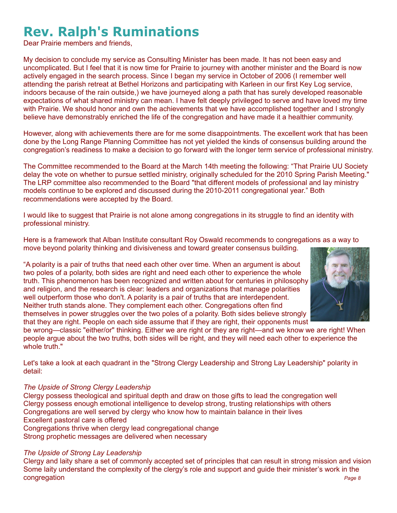## **Rev. Ralph's Ruminations**

Dear Prairie members and friends,

My decision to conclude my service as Consulting Minister has been made. It has not been easy and uncomplicated. But I feel that it is now time for Prairie to journey with another minister and the Board is now actively engaged in the search process. Since I began my service in October of 2006 (I remember well attending the parish retreat at Bethel Horizons and participating with Karleen in our first Key Log service, indoors because of the rain outside,) we have journeyed along a path that has surely developed reasonable expectations of what shared ministry can mean. I have felt deeply privileged to serve and have loved my time with Prairie. We should honor and own the achievements that we have accomplished together and I strongly believe have demonstrably enriched the life of the congregation and have made it a healthier community.

However, along with achievements there are for me some disappointments. The excellent work that has been done by the Long Range Planning Committee has not yet yielded the kinds of consensus building around the congregation's readiness to make a decision to go forward with the longer term service of professional ministry.

The Committee recommended to the Board at the March 14th meeting the following: "That Prairie UU Society delay the vote on whether to pursue settled ministry, originally scheduled for the 2010 Spring Parish Meeting." The LRP committee also recommended to the Board "that different models of professional and lay ministry models continue to be explored and discussed during the 2010-2011 congregational year." Both recommendations were accepted by the Board.

I would like to suggest that Prairie is not alone among congregations in its struggle to find an identity with professional ministry.

Here is a framework that Alban Institute consultant Roy Oswald recommends to congregations as a way to move beyond polarity thinking and divisiveness and toward greater consensus building.

"A polarity is a pair of truths that need each other over time. When an argument is about two poles of a polarity, both sides are right and need each other to experience the whole truth. This phenomenon has been recognized and written about for centuries in philosophy and religion, and the research is clear: leaders and organizations that manage polarities well outperform those who don't. A polarity is a pair of truths that are interdependent. Neither truth stands alone. They complement each other. Congregations often find themselves in power struggles over the two poles of a polarity. Both sides believe strongly that they are right. People on each side assume that if they are right, their opponents must



be wrong—classic "either/or" thinking. Either we are right or they are right—and we know we are right! When people argue about the two truths, both sides will be right, and they will need each other to experience the whole truth."

Let's take a look at each quadrant in the "Strong Clergy Leadership and Strong Lay Leadership" polarity in detail:

#### *The Upside of Strong Clergy Leadership*

Clergy possess theological and spiritual depth and draw on those gifts to lead the congregation well Clergy possess enough emotional intelligence to develop strong, trusting relationships with others Congregations are well served by clergy who know how to maintain balance in their lives Excellent pastoral care is offered Congregations thrive when clergy lead congregational change

Strong prophetic messages are delivered when necessary

#### *The Upside of Strong Lay Leadership*

Clergy and laity share a set of commonly accepted set of principles that can result in strong mission and vision Some laity understand the complexity of the clergy's role and support and guide their minister's work in the congregation *Page 8*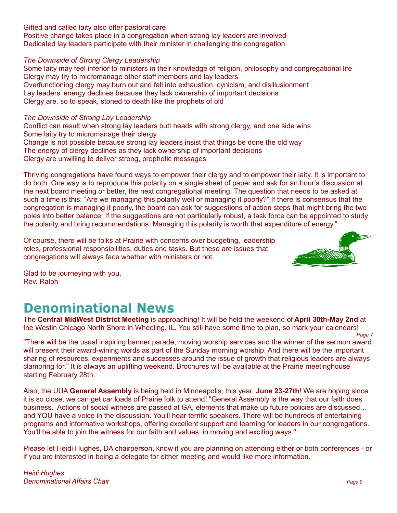Gifted and called laity also offer pastoral care Positive change takes place in a congregation when strong lay leaders are involved Dedicated lay leaders participate with their minister in challenging the congregation

#### *The Downside of Strong Clergy Leadership*

Some laity may feel inferior to ministers in their knowledge of religion, philosophy and congregational life Clergy may try to micromanage other staff members and lay leaders Overfunctioning clergy may burn out and fall into exhaustion, cynicism, and disillusionment Lay leaders' energy declines because they lack ownership of important decisions Clergy are, so to speak, stoned to death like the prophets of old

Conflict can result when strong lay leaders butt heads with strong clergy, and one side wins Some laity try to micromanage their clergy Change is not possible because strong lay leaders insist that things be done the old way The energy of clergy declines as they lack ownership of important decisions Clergy are unwilling to deliver strong, prophetic messages

The Downside of Strong Lay Leadership is the breating the provide the strength in the consistent of the Downside of Change is more than the consistent of the Downside Conference is the property of the Change is in the prop Thriving congregations have found ways to empower their clergy and to empower their laity. It is important to do both. One way is to reproduce this polarity on a single sheet of paper and ask for an hour's discussion at the next board meeting or better, the next congregational meeting. The question that needs to be asked at such a time is this: "Are we managing this polarity well or managing it poorly?" If there is consensus that the congregation is managing it poorly, the board can ask for suggestions of action steps that might bring the two poles into better balance. If the suggestions are not particularly robust, a task force can be appointed to study the polarity and bring recommendations. Managing this polarity is worth that expenditure of energy."

Of course, there will be folks at Prairie with concerns over budgeting, leadership roles, professional responsibilities, duties and tasks. But these are issues that congregations will always face whether with ministers or not.



Glad to be journeying with you, Rev. Ralph

## **Denominational News**

The **Central MidWest District Meeting** is approaching! It will be held the weekend of **April 30th-May 2nd** at the Westin Chicago North Shore in Wheeling, IL. You still have some time to plan, so mark your calendars!

*Page 7* "There will be the usual inspiring banner parade, moving worship services and the winner of the sermon award will present their award-wining words as part of the Sunday morning worship. And there will be the important sharing of resources, experiments and successes around the issue of growth that religious leaders are always clamoring for." It is always an uplifting weekend. Brochures will be available at the Prairie meetinghouse starting February 28th.

Also, the UUA **General Assembly** is being held in Minneapolis, this year, **June 23-27th**! We are hoping since it is so close, we can get car loads of Prairie folk to attend! "General Assembly is the way that our faith does business. Actions of social witness are passed at GA, elements that make up future policies are discussed… and YOU have a voice in the discussion. You'll hear terrific speakers. There will be hundreds of entertaining programs and informative workshops, offering excellent support and learning for leaders in our congregations. You'll be able to join the witness for our faith and values, in moving and exciting ways."

Please let Heidi Hughes, DA chairperson, know if you are planning on attending either or both conferences - or if you are interested in being a delegate for either meeting and would like more information.